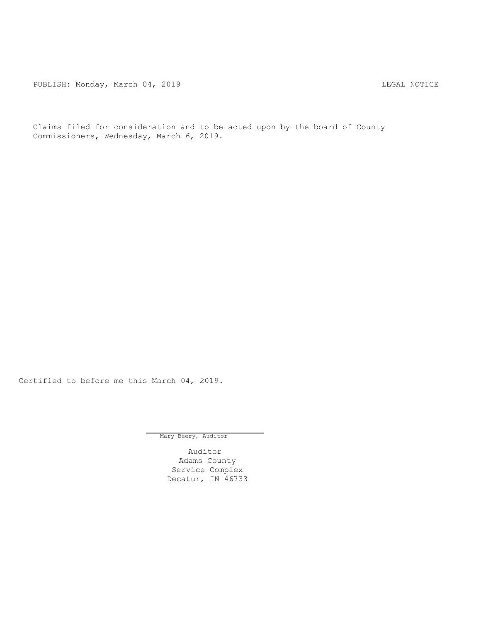PUBLISH: Monday, March 04, 2019 CHANGER AND THE MOTICE

Claims filed for consideration and to be acted upon by the board of County Commissioners, Wednesday, March 6, 2019.

Certified to before me this March 04, 2019.

Mary Beery, Auditor

Auditor Adams County Service Complex Decatur, IN 46733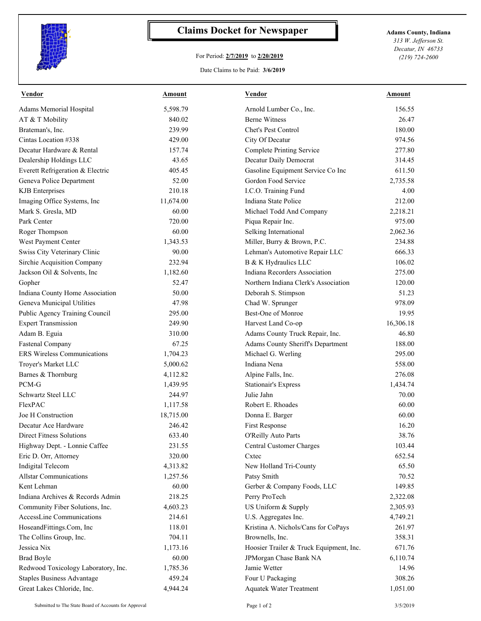

## **Claims Docket for Newspaper Adams County, Indiana**

## For Period: **2/7/2019** to **2/20/2019**

*313 W. Jefferson St. Decatur, IN 46733 (219) 724-2600*

Date Claims to be Paid: **3/6/2019**

| Vendor                              | Amount    | <b>Vendor</b>                           | Amount    |
|-------------------------------------|-----------|-----------------------------------------|-----------|
| Adams Memorial Hospital             | 5,598.79  | Arnold Lumber Co., Inc.                 | 156.55    |
| AT & T Mobility                     | 840.02    | <b>Berne Witness</b>                    | 26.47     |
| Brateman's, Inc.                    | 239.99    | Chet's Pest Control                     | 180.00    |
| Cintas Location #338                | 429.00    | City Of Decatur                         | 974.56    |
| Decatur Hardware & Rental           | 157.74    | <b>Complete Printing Service</b>        | 277.80    |
| Dealership Holdings LLC             | 43.65     | Decatur Daily Democrat                  | 314.45    |
| Everett Refrigeration & Electric    | 405.45    | Gasoline Equipment Service Co Inc       | 611.50    |
| Geneva Police Department            | 52.00     | Gordon Food Service                     | 2,735.58  |
| <b>KJB</b> Enterprises              | 210.18    | I.C.O. Training Fund                    | 4.00      |
| Imaging Office Systems, Inc         | 11,674.00 | Indiana State Police                    | 212.00    |
| Mark S. Gresla, MD                  | 60.00     | Michael Todd And Company                | 2,218.21  |
| Park Center                         | 720.00    | Piqua Repair Inc.                       | 975.00    |
| Roger Thompson                      | 60.00     | Selking International                   | 2,062.36  |
| West Payment Center                 | 1,343.53  | Miller, Burry & Brown, P.C.             | 234.88    |
| Swiss City Veterinary Clinic        | 90.00     | Lehman's Automotive Repair LLC          | 666.33    |
| Sirchie Acquisition Company         | 232.94    | B & K Hydraulics LLC                    | 106.02    |
| Jackson Oil & Solvents, Inc.        | 1,182.60  | Indiana Recorders Association           | 275.00    |
| Gopher                              | 52.47     | Northern Indiana Clerk's Association    | 120.00    |
| Indiana County Home Association     | 50.00     | Deborah S. Stimpson                     | 51.23     |
| Geneva Municipal Utilities          | 47.98     | Chad W. Sprunger                        | 978.09    |
| Public Agency Training Council      | 295.00    | Best-One of Monroe                      | 19.95     |
| <b>Expert Transmission</b>          | 249.90    | Harvest Land Co-op                      | 16,306.18 |
| Adam B. Eguia                       | 310.00    | Adams County Truck Repair, Inc.         | 46.80     |
| Fastenal Company                    | 67.25     | Adams County Sheriff's Department       | 188.00    |
| <b>ERS</b> Wireless Communications  | 1,704.23  | Michael G. Werling                      | 295.00    |
| Troyer's Market LLC                 | 5,000.62  | Indiana Nena                            | 558.00    |
| Barnes & Thornburg                  | 4,112.82  | Alpine Falls, Inc.                      | 276.08    |
| PCM-G                               | 1,439.95  | <b>Stationair's Express</b>             | 1,434.74  |
| Schwartz Steel LLC                  | 244.97    | Julie Jahn                              | 70.00     |
| FlexPAC                             | 1,117.58  | Robert E. Rhoades                       | 60.00     |
| Joe H Construction                  | 18,715.00 | Donna E. Barger                         | 60.00     |
| Decatur Ace Hardware                | 246.42    | First Response                          | 16.20     |
| Direct Fitness Solutions            | 633.40    | O'Reilly Auto Parts                     | 38.76     |
| Highway Dept. - Lonnie Caffee       | 231.55    | Central Customer Charges                | 103.44    |
| Eric D. Orr, Attorney               | 320.00    | Cxtec                                   | 652.54    |
| Indigital Telecom                   | 4,313.82  | New Holland Tri-County                  | 65.50     |
| <b>Allstar Communications</b>       | 1,257.56  | Patsy Smith                             | 70.52     |
| Kent Lehman                         | 60.00     | Gerber & Company Foods, LLC             | 149.85    |
| Indiana Archives & Records Admin    | 218.25    | Perry ProTech                           | 2,322.08  |
| Community Fiber Solutions, Inc.     | 4,603.23  | US Uniform & Supply                     | 2,305.93  |
| AccessLine Communications           | 214.61    | U.S. Aggregates Inc.                    | 4,749.21  |
| HoseandFittings.Com, Inc            | 118.01    | Kristina A. Nichols/Cans for CoPays     | 261.97    |
| The Collins Group, Inc.             | 704.11    | Brownells, Inc.                         | 358.31    |
| Jessica Nix                         | 1,173.16  | Hoosier Trailer & Truck Equipment, Inc. | 671.76    |
| <b>Brad Boyle</b>                   | 60.00     | JPMorgan Chase Bank NA                  | 6,110.74  |
| Redwood Toxicology Laboratory, Inc. | 1,785.36  | Jamie Wetter                            | 14.96     |
| <b>Staples Business Advantage</b>   | 459.24    | Four U Packaging                        | 308.26    |
| Great Lakes Chloride, Inc.          | 4,944.24  | <b>Aquatek Water Treatment</b>          | 1,051.00  |
|                                     |           |                                         |           |